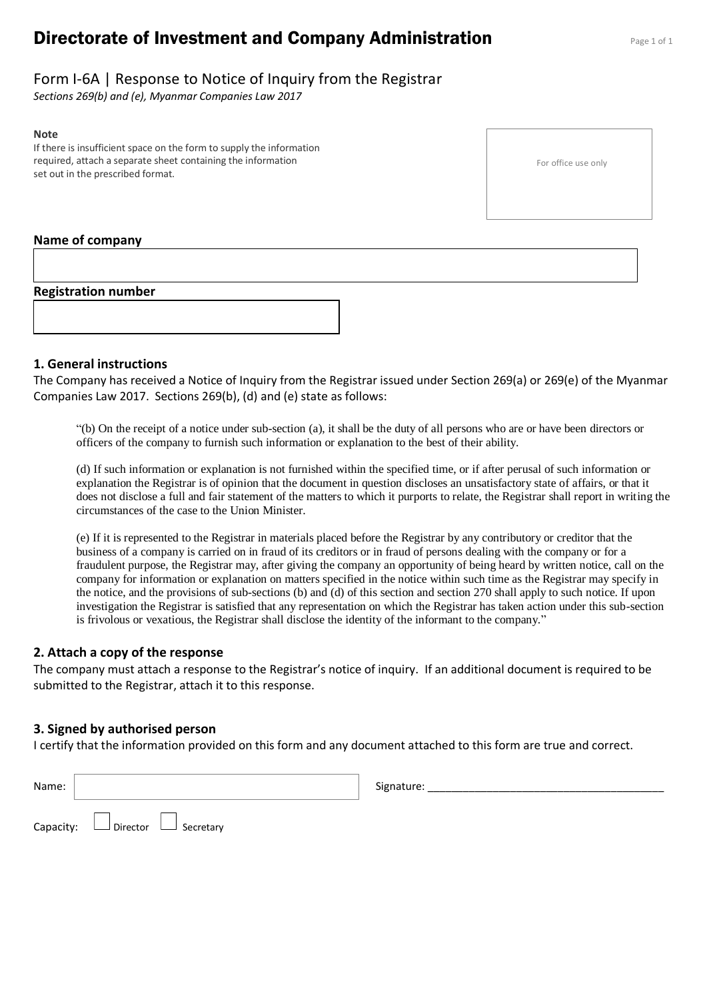# **Directorate of Investment and Company Administration** Page 1 of 1

## Form I-6A | Response to Notice of Inquiry from the Registrar

*Sections 269(b) and (e), Myanmar Companies Law 2017*

#### **Note**

If there is insufficient space on the form to supply the information required, attach a separate sheet containing the information set out in the prescribed format.

For office use only

#### **Name of company**

**Registration number**

#### **1. General instructions**

The Company has received a Notice of Inquiry from the Registrar issued under Section 269(a) or 269(e) of the Myanmar Companies Law 2017. Sections 269(b), (d) and (e) state as follows:

"(b) On the receipt of a notice under sub-section (a), it shall be the duty of all persons who are or have been directors or officers of the company to furnish such information or explanation to the best of their ability.

(d) If such information or explanation is not furnished within the specified time, or if after perusal of such information or explanation the Registrar is of opinion that the document in question discloses an unsatisfactory state of affairs, or that it does not disclose a full and fair statement of the matters to which it purports to relate, the Registrar shall report in writing the circumstances of the case to the Union Minister.

(e) If it is represented to the Registrar in materials placed before the Registrar by any contributory or creditor that the business of a company is carried on in fraud of its creditors or in fraud of persons dealing with the company or for a fraudulent purpose, the Registrar may, after giving the company an opportunity of being heard by written notice, call on the company for information or explanation on matters specified in the notice within such time as the Registrar may specify in the notice, and the provisions of sub-sections (b) and (d) of this section and section 270 shall apply to such notice. If upon investigation the Registrar is satisfied that any representation on which the Registrar has taken action under this sub-section is frivolous or vexatious, the Registrar shall disclose the identity of the informant to the company."

#### **2. Attach a copy of the response**

The company must attach a response to the Registrar's notice of inquiry. If an additional document is required to be submitted to the Registrar, attach it to this response.

#### **3. Signed by authorised person**

I certify that the information provided on this form and any document attached to this form are true and correct.

| Name: |                                            | Signature: |
|-------|--------------------------------------------|------------|
|       | Capacity: $\Box$ Director $\Box$ Secretary |            |